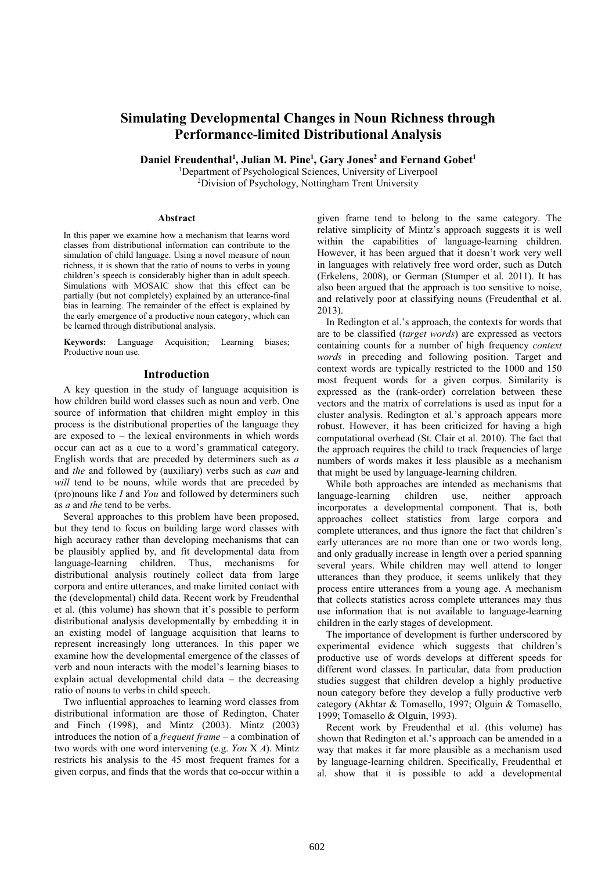# Simulating Developmental Changes in Noun Richness through Performance-limited Distributional Analysis

Daniel Freudenthal<sup>1</sup>, Julian M. Pine<sup>1</sup>, Gary Jones<sup>2</sup> and Fernand Gobet<sup>1</sup>

<sup>1</sup>Department of Psychological Sciences, University of Liverpool <sup>2</sup>Division of Psychology, Nottingham Trent University

#### Abstract

In this paper we examine how a mechanism that learns word classes from distributional information can contribute to the simulation of child language. Using a novel measure of noun richness, it is shown that the ratio of nouns to verbs in young children's speech is considerably higher than in adult speech. Simulations with MOSAIC show that this effect can be partially (but not completely) explained by an utterance-final bias in learning. The remainder of the effect is explained by the early emergence of a productive noun category, which can be learned through distributional analysis.

Keywords: Language Acquisition; Learning biases; Productive noun use.

## Introduction

A key question in the study of language acquisition is how children build word classes such as noun and verb. One source of information that children might employ in this process is the distributional properties of the language they are exposed to  $-$  the lexical environments in which words occur can act as a cue to a word's grammatical category. English words that are preceded by determiners such as  $a$ and the and followed by (auxiliary) verbs such as can and will tend to be nouns, while words that are preceded by (pro)nouns like I and You and followed by determiners such as *a* and *the* tend to be verbs.

Several approaches to this problem have been proposed, but they tend to focus on building large word classes with high accuracy rather than developing mechanisms that can be plausibly applied by, and fit developmental data from language-learning children. Thus, mechanisms for distributional analysis routinely collect data from large corpora and entire utterances, and make limited contact with the (developmental) child data. Recent work by Freudenthal et al. (this volume) has shown that it's possible to perform distributional analysis developmentally by embedding it in an existing model of language acquisition that learns to represent increasingly long utterances. In this paper we examine how the developmental emergence of the classes of verb and noun interacts with the model's learning biases to explain actual developmental child data – the decreasing ratio of nouns to verbs in child speech.

Two influential approaches to learning word classes from distributional information are those of Redington, Chater and Finch (1998), and Mintz (2003). Mintz (2003) introduces the notion of a frequent frame – a combination of two words with one word intervening (e.g. You  $X$  A). Mintz restricts his analysis to the 45 most frequent frames for a given corpus, and finds that the words that co-occur within a

given frame tend to belong to the same category. The relative simplicity of Mintz's approach suggests it is well within the capabilities of language-learning children. However, it has been argued that it doesn't work very well in languages with relatively free word order, such as Dutch (Erkelens, 2008), or German (Stumper et al. 2011). It has also been argued that the approach is too sensitive to noise, and relatively poor at classifying nouns (Freudenthal et al. 2013).

In Redington et al.'s approach, the contexts for words that are to be classified (target words) are expressed as vectors containing counts for a number of high frequency context words in preceding and following position. Target and context words are typically restricted to the 1000 and 150 most frequent words for a given corpus. Similarity is expressed as the (rank-order) correlation between these vectors and the matrix of correlations is used as input for a cluster analysis. Redington et al.'s approach appears more robust. However, it has been criticized for having a high computational overhead (St. Clair et al. 2010). The fact that the approach requires the child to track frequencies of large numbers of words makes it less plausible as a mechanism that might be used by language-learning children.

While both approaches are intended as mechanisms that language-learning children use, neither approach incorporates a developmental component. That is, both approaches collect statistics from large corpora and complete utterances, and thus ignore the fact that children's early utterances are no more than one or two words long, and only gradually increase in length over a period spanning several years. While children may well attend to longer utterances than they produce, it seems unlikely that they process entire utterances from a young age. A mechanism that collects statistics across complete utterances may thus use information that is not available to language-learning children in the early stages of development.

The importance of development is further underscored by experimental evidence which suggests that children's productive use of words develops at different speeds for different word classes. In particular, data from production studies suggest that children develop a highly productive noun category before they develop a fully productive verb category (Akhtar & Tomasello, 1997; Olguin & Tomasello, 1999; Tomasello & Olguin, 1993).

Recent work by Freudenthal et al. (this volume) has shown that Redington et al.'s approach can be amended in a way that makes it far more plausible as a mechanism used by language-learning children. Specifically, Freudenthal et al. show that it is possible to add a developmental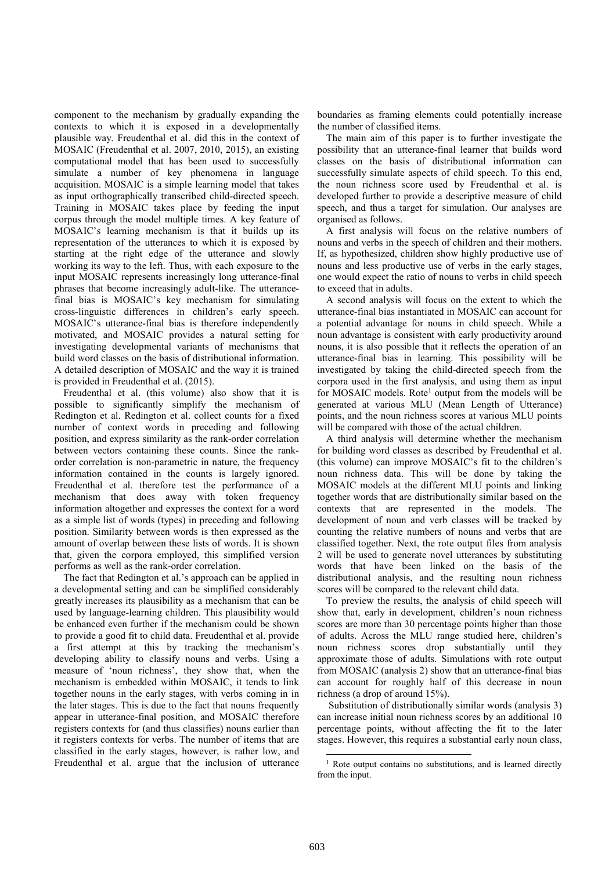component to the mechanism by gradually expanding the contexts to which it is exposed in a developmentally plausible way. Freudenthal et al. did this in the context of MOSAIC (Freudenthal et al. 2007, 2010, 2015), an existing computational model that has been used to successfully simulate a number of key phenomena in language acquisition. MOSAIC is a simple learning model that takes as input orthographically transcribed child-directed speech. Training in MOSAIC takes place by feeding the input corpus through the model multiple times. A key feature of MOSAIC's learning mechanism is that it builds up its representation of the utterances to which it is exposed by starting at the right edge of the utterance and slowly working its way to the left. Thus, with each exposure to the input MOSAIC represents increasingly long utterance-final phrases that become increasingly adult-like. The utterancefinal bias is MOSAIC's key mechanism for simulating cross-linguistic differences in children's early speech. MOSAIC's utterance-final bias is therefore independently motivated, and MOSAIC provides a natural setting for investigating developmental variants of mechanisms that build word classes on the basis of distributional information. A detailed description of MOSAIC and the way it is trained is provided in Freudenthal et al. (2015).

Freudenthal et al. (this volume) also show that it is possible to significantly simplify the mechanism of Redington et al. Redington et al. collect counts for a fixed number of context words in preceding and following position, and express similarity as the rank-order correlation between vectors containing these counts. Since the rankorder correlation is non-parametric in nature, the frequency information contained in the counts is largely ignored. Freudenthal et al. therefore test the performance of a mechanism that does away with token frequency information altogether and expresses the context for a word as a simple list of words (types) in preceding and following position. Similarity between words is then expressed as the amount of overlap between these lists of words. It is shown that, given the corpora employed, this simplified version performs as well as the rank-order correlation.

The fact that Redington et al.'s approach can be applied in a developmental setting and can be simplified considerably greatly increases its plausibility as a mechanism that can be used by language-learning children. This plausibility would be enhanced even further if the mechanism could be shown to provide a good fit to child data. Freudenthal et al. provide a first attempt at this by tracking the mechanism's developing ability to classify nouns and verbs. Using a measure of 'noun richness', they show that, when the mechanism is embedded within MOSAIC, it tends to link together nouns in the early stages, with verbs coming in in the later stages. This is due to the fact that nouns frequently appear in utterance-final position, and MOSAIC therefore registers contexts for (and thus classifies) nouns earlier than it registers contexts for verbs. The number of items that are classified in the early stages, however, is rather low, and Freudenthal et al. argue that the inclusion of utterance

boundaries as framing elements could potentially increase the number of classified items.

The main aim of this paper is to further investigate the possibility that an utterance-final learner that builds word classes on the basis of distributional information can successfully simulate aspects of child speech. To this end, the noun richness score used by Freudenthal et al. is developed further to provide a descriptive measure of child speech, and thus a target for simulation. Our analyses are organised as follows.

A first analysis will focus on the relative numbers of nouns and verbs in the speech of children and their mothers. If, as hypothesized, children show highly productive use of nouns and less productive use of verbs in the early stages, one would expect the ratio of nouns to verbs in child speech to exceed that in adults.

A second analysis will focus on the extent to which the utterance-final bias instantiated in MOSAIC can account for a potential advantage for nouns in child speech. While a noun advantage is consistent with early productivity around nouns, it is also possible that it reflects the operation of an utterance-final bias in learning. This possibility will be investigated by taking the child-directed speech from the corpora used in the first analysis, and using them as input for MOSAIC models. Rote<sup>1</sup> output from the models will be generated at various MLU (Mean Length of Utterance) points, and the noun richness scores at various MLU points will be compared with those of the actual children.

A third analysis will determine whether the mechanism for building word classes as described by Freudenthal et al. (this volume) can improve MOSAIC's fit to the children's noun richness data. This will be done by taking the MOSAIC models at the different MLU points and linking together words that are distributionally similar based on the contexts that are represented in the models. The development of noun and verb classes will be tracked by counting the relative numbers of nouns and verbs that are classified together. Next, the rote output files from analysis 2 will be used to generate novel utterances by substituting words that have been linked on the basis of the distributional analysis, and the resulting noun richness scores will be compared to the relevant child data.

To preview the results, the analysis of child speech will show that, early in development, children's noun richness scores are more than 30 percentage points higher than those of adults. Across the MLU range studied here, children's noun richness scores drop substantially until they approximate those of adults. Simulations with rote output from MOSAIC (analysis 2) show that an utterance-final bias can account for roughly half of this decrease in noun richness (a drop of around 15%).

 Substitution of distributionally similar words (analysis 3) can increase initial noun richness scores by an additional 10 percentage points, without affecting the fit to the later stages. However, this requires a substantial early noun class,

-

<sup>&</sup>lt;sup>1</sup> Rote output contains no substitutions, and is learned directly from the input.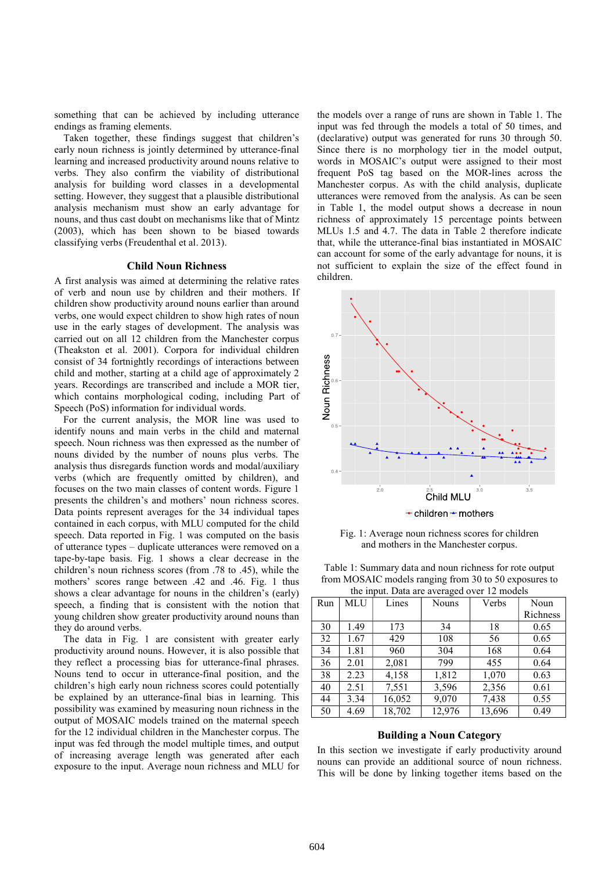something that can be achieved by including utterance endings as framing elements.

Taken together, these findings suggest that children's early noun richness is jointly determined by utterance-final learning and increased productivity around nouns relative to verbs. They also confirm the viability of distributional analysis for building word classes in a developmental setting. However, they suggest that a plausible distributional analysis mechanism must show an early advantage for nouns, and thus cast doubt on mechanisms like that of Mintz (2003), which has been shown to be biased towards classifying verbs (Freudenthal et al. 2013).

#### Child Noun Richness

A first analysis was aimed at determining the relative rates of verb and noun use by children and their mothers. If children show productivity around nouns earlier than around verbs, one would expect children to show high rates of noun use in the early stages of development. The analysis was carried out on all 12 children from the Manchester corpus (Theakston et al. 2001). Corpora for individual children consist of 34 fortnightly recordings of interactions between child and mother, starting at a child age of approximately 2 years. Recordings are transcribed and include a MOR tier, which contains morphological coding, including Part of Speech (PoS) information for individual words.

 For the current analysis, the MOR line was used to identify nouns and main verbs in the child and maternal speech. Noun richness was then expressed as the number of nouns divided by the number of nouns plus verbs. The analysis thus disregards function words and modal/auxiliary verbs (which are frequently omitted by children), and focuses on the two main classes of content words. Figure 1 presents the children's and mothers' noun richness scores. Data points represent averages for the 34 individual tapes contained in each corpus, with MLU computed for the child speech. Data reported in Fig. 1 was computed on the basis of utterance types – duplicate utterances were removed on a tape-by-tape basis. Fig. 1 shows a clear decrease in the children's noun richness scores (from .78 to .45), while the mothers' scores range between .42 and .46. Fig. 1 thus shows a clear advantage for nouns in the children's (early) speech, a finding that is consistent with the notion that young children show greater productivity around nouns than they do around verbs.

The data in Fig. 1 are consistent with greater early productivity around nouns. However, it is also possible that they reflect a processing bias for utterance-final phrases. Nouns tend to occur in utterance-final position, and the children's high early noun richness scores could potentially be explained by an utterance-final bias in learning. This possibility was examined by measuring noun richness in the output of MOSAIC models trained on the maternal speech for the 12 individual children in the Manchester corpus. The input was fed through the model multiple times, and output of increasing average length was generated after each exposure to the input. Average noun richness and MLU for

the models over a range of runs are shown in Table 1. The input was fed through the models a total of 50 times, and (declarative) output was generated for runs 30 through 50. Since there is no morphology tier in the model output, words in MOSAIC's output were assigned to their most frequent PoS tag based on the MOR-lines across the Manchester corpus. As with the child analysis, duplicate utterances were removed from the analysis. As can be seen in Table 1, the model output shows a decrease in noun richness of approximately 15 percentage points between MLUs 1.5 and 4.7. The data in Table 2 therefore indicate that, while the utterance-final bias instantiated in MOSAIC can account for some of the early advantage for nouns, it is not sufficient to explain the size of the effect found in children.



Fig. 1: Average noun richness scores for children and mothers in the Manchester corpus.

Table 1: Summary data and noun richness for rote output from MOSAIC models ranging from 30 to 50 exposures to  $t \rightarrow \mathbb{R}$ 

| the input. Data are averaged over 12 models |            |        |              |        |          |  |
|---------------------------------------------|------------|--------|--------------|--------|----------|--|
| Run                                         | <b>MLU</b> | Lines  | <b>Nouns</b> | Verbs  | Noun     |  |
|                                             |            |        |              |        | Richness |  |
| 30                                          | 1.49       | 173    | 34           | 18     | 0.65     |  |
| 32                                          | 1.67       | 429    | 108          | 56     | 0.65     |  |
| 34                                          | 1.81       | 960    | 304          | 168    | 0.64     |  |
| 36                                          | 2.01       | 2,081  | 799          | 455    | 0.64     |  |
| 38                                          | 2.23       | 4,158  | 1,812        | 1,070  | 0.63     |  |
| 40                                          | 2.51       | 7,551  | 3,596        | 2,356  | 0.61     |  |
| 44                                          | 3.34       | 16,052 | 9,070        | 7,438  | 0.55     |  |
| 50                                          | 4.69       | 18,702 | 12,976       | 13,696 | 0.49     |  |

## Building a Noun Category

In this section we investigate if early productivity around nouns can provide an additional source of noun richness. This will be done by linking together items based on the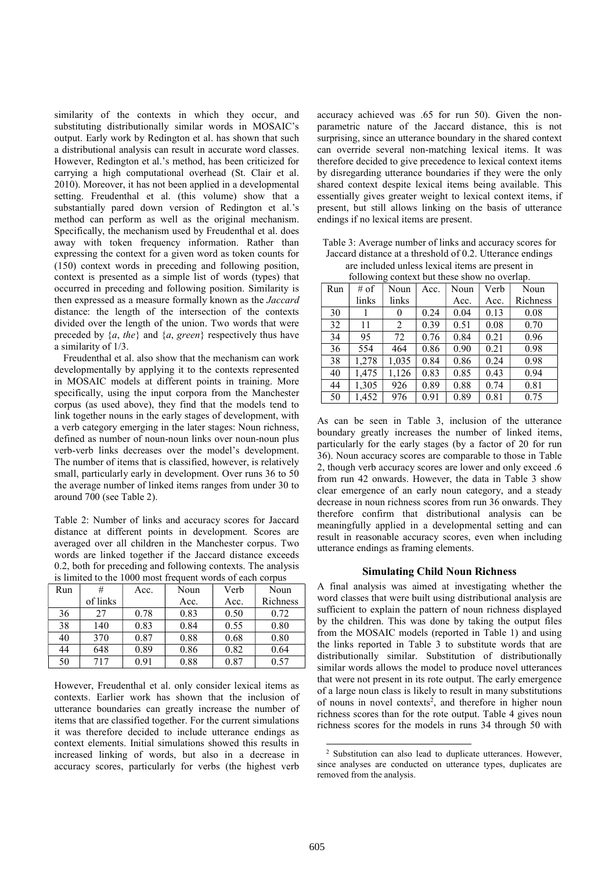similarity of the contexts in which they occur, and substituting distributionally similar words in MOSAIC's output. Early work by Redington et al. has shown that such a distributional analysis can result in accurate word classes. However, Redington et al.'s method, has been criticized for carrying a high computational overhead (St. Clair et al. 2010). Moreover, it has not been applied in a developmental setting. Freudenthal et al. (this volume) show that a substantially pared down version of Redington et al.'s method can perform as well as the original mechanism. Specifically, the mechanism used by Freudenthal et al. does away with token frequency information. Rather than expressing the context for a given word as token counts for (150) context words in preceding and following position, context is presented as a simple list of words (types) that occurred in preceding and following position. Similarity is then expressed as a measure formally known as the Jaccard distance: the length of the intersection of the contexts divided over the length of the union. Two words that were preceded by  $\{a, the\}$  and  $\{a, green\}$  respectively thus have a similarity of 1/3.

 Freudenthal et al. also show that the mechanism can work developmentally by applying it to the contexts represented in MOSAIC models at different points in training. More specifically, using the input corpora from the Manchester corpus (as used above), they find that the models tend to link together nouns in the early stages of development, with a verb category emerging in the later stages: Noun richness, defined as number of noun-noun links over noun-noun plus verb-verb links decreases over the model's development. The number of items that is classified, however, is relatively small, particularly early in development. Over runs 36 to 50 the average number of linked items ranges from under 30 to around 700 (see Table 2).

Table 2: Number of links and accuracy scores for Jaccard distance at different points in development. Scores are averaged over all children in the Manchester corpus. Two words are linked together if the Jaccard distance exceeds 0.2, both for preceding and following contexts. The analysis is limited to the 1000 most frequent words of each corpus

| Run | #        | Acc. | Noun | Verb | Noun     |
|-----|----------|------|------|------|----------|
|     | of links |      | Acc. | Acc. | Richness |
| 36  | 27       | 0.78 | 0.83 | 0.50 | 0.72     |
| 38  | 140      | 0.83 | 0.84 | 0.55 | 0.80     |
| 40  | 370      | 0.87 | 0.88 | 0.68 | 0.80     |
| 44  | 648      | 0.89 | 0.86 | 0.82 | 0.64     |
| 50  | 717      | 0.91 | 0.88 | 0.87 | 0.57     |

However, Freudenthal et al. only consider lexical items as contexts. Earlier work has shown that the inclusion of utterance boundaries can greatly increase the number of items that are classified together. For the current simulations it was therefore decided to include utterance endings as context elements. Initial simulations showed this results in increased linking of words, but also in a decrease in accuracy scores, particularly for verbs (the highest verb

accuracy achieved was .65 for run 50). Given the nonparametric nature of the Jaccard distance, this is not surprising, since an utterance boundary in the shared context can override several non-matching lexical items. It was therefore decided to give precedence to lexical context items by disregarding utterance boundaries if they were the only shared context despite lexical items being available. This essentially gives greater weight to lexical context items, if present, but still allows linking on the basis of utterance endings if no lexical items are present.

Table 3: Average number of links and accuracy scores for Jaccard distance at a threshold of 0.2. Utterance endings are included unless lexical items are present in

| following context but these show no overlap. |  |
|----------------------------------------------|--|

| Run | # of  | Noun  | Acc. | Noun | Verb | Noun     |
|-----|-------|-------|------|------|------|----------|
|     | links | links |      | Acc. | Acc. | Richness |
| 30  |       | 0     | 0.24 | 0.04 | 0.13 | 0.08     |
| 32  | 11    | 2     | 0.39 | 0.51 | 0.08 | 0.70     |
| 34  | 95    | 72    | 0.76 | 0.84 | 0.21 | 0.96     |
| 36  | 554   | 464   | 0.86 | 0.90 | 0.21 | 0.98     |
| 38  | 1,278 | 1,035 | 0.84 | 0.86 | 0.24 | 0.98     |
| 40  | 1,475 | 1,126 | 0.83 | 0.85 | 0.43 | 0.94     |
| 44  | 1,305 | 926   | 0.89 | 0.88 | 0.74 | 0.81     |
| 50  | 1,452 | 976   | 0.91 | 0.89 | 0.81 | 0.75     |

As can be seen in Table 3, inclusion of the utterance boundary greatly increases the number of linked items, particularly for the early stages (by a factor of 20 for run 36). Noun accuracy scores are comparable to those in Table 2, though verb accuracy scores are lower and only exceed .6 from run 42 onwards. However, the data in Table 3 show clear emergence of an early noun category, and a steady decrease in noun richness scores from run 36 onwards. They therefore confirm that distributional analysis can be meaningfully applied in a developmental setting and can result in reasonable accuracy scores, even when including utterance endings as framing elements.

# Simulating Child Noun Richness

A final analysis was aimed at investigating whether the word classes that were built using distributional analysis are sufficient to explain the pattern of noun richness displayed by the children. This was done by taking the output files from the MOSAIC models (reported in Table 1) and using the links reported in Table 3 to substitute words that are distributionally similar. Substitution of distributionally similar words allows the model to produce novel utterances that were not present in its rote output. The early emergence of a large noun class is likely to result in many substitutions of nouns in novel contexts<sup>2</sup>, and therefore in higher noun richness scores than for the rote output. Table 4 gives noun richness scores for the models in runs 34 through 50 with

-

<sup>2</sup> Substitution can also lead to duplicate utterances. However, since analyses are conducted on utterance types, duplicates are removed from the analysis.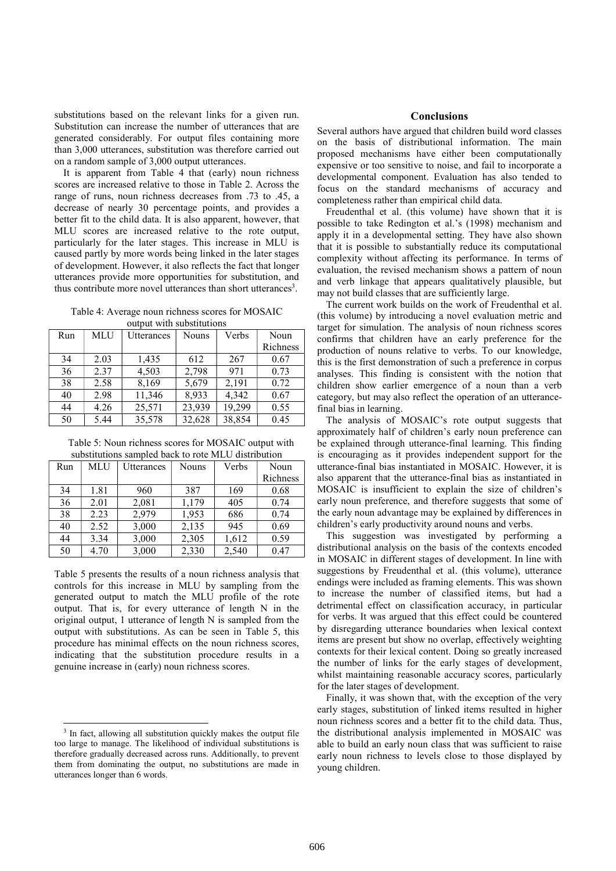substitutions based on the relevant links for a given run. Substitution can increase the number of utterances that are generated considerably. For output files containing more than 3,000 utterances, substitution was therefore carried out on a random sample of 3,000 output utterances.

 It is apparent from Table 4 that (early) noun richness scores are increased relative to those in Table 2. Across the range of runs, noun richness decreases from .73 to .45, a decrease of nearly 30 percentage points, and provides a better fit to the child data. It is also apparent, however, that MLU scores are increased relative to the rote output, particularly for the later stages. This increase in MLU is caused partly by more words being linked in the later stages of development. However, it also reflects the fact that longer utterances provide more opportunities for substitution, and thus contribute more novel utterances than short utterances<sup>3</sup>.

Table 4: Average noun richness scores for MOSAIC output with substitutions

| Run | <b>MLU</b> | Utterances | <b>Nouns</b> | Verbs  | Noun     |
|-----|------------|------------|--------------|--------|----------|
|     |            |            |              |        | Richness |
| 34  | 2.03       | 1,435      | 612          | 267    | 0.67     |
| 36  | 2.37       | 4,503      | 2,798        | 971    | 0.73     |
| 38  | 2.58       | 8,169      | 5,679        | 2,191  | 0.72     |
| 40  | 2.98       | 11,346     | 8,933        | 4,342  | 0.67     |
| 44  | 4.26       | 25,571     | 23,939       | 19,299 | 0.55     |
| 50  | 5.44       | 35,578     | 32,628       | 38,854 | 0.45     |

Table 5: Noun richness scores for MOSAIC output with substitutions sampled back to rote MLU distribution

| Run | <b>MLU</b> | Utterances | <b>Nouns</b> | Verbs | Noun     |
|-----|------------|------------|--------------|-------|----------|
|     |            |            |              |       | Richness |
| 34  | 1.81       | 960        | 387          | 169   | 0.68     |
| 36  | 2.01       | 2,081      | 1,179        | 405   | 0.74     |
| 38  | 2.23       | 2,979      | 1,953        | 686   | 0.74     |
| 40  | 2.52       | 3,000      | 2,135        | 945   | 0.69     |
| 44  | 3.34       | 3,000      | 2,305        | 1,612 | 0.59     |
| 50  | 4.70       | 3,000      | 2,330        | 2,540 | 0.47     |

Table 5 presents the results of a noun richness analysis that controls for this increase in MLU by sampling from the generated output to match the MLU profile of the rote output. That is, for every utterance of length N in the original output, 1 utterance of length N is sampled from the output with substitutions. As can be seen in Table 5, this procedure has minimal effects on the noun richness scores, indicating that the substitution procedure results in a genuine increase in (early) noun richness scores.

-

## **Conclusions**

Several authors have argued that children build word classes on the basis of distributional information. The main proposed mechanisms have either been computationally expensive or too sensitive to noise, and fail to incorporate a developmental component. Evaluation has also tended to focus on the standard mechanisms of accuracy and completeness rather than empirical child data.

 Freudenthal et al. (this volume) have shown that it is possible to take Redington et al.'s (1998) mechanism and apply it in a developmental setting. They have also shown that it is possible to substantially reduce its computational complexity without affecting its performance. In terms of evaluation, the revised mechanism shows a pattern of noun and verb linkage that appears qualitatively plausible, but may not build classes that are sufficiently large.

 The current work builds on the work of Freudenthal et al. (this volume) by introducing a novel evaluation metric and target for simulation. The analysis of noun richness scores confirms that children have an early preference for the production of nouns relative to verbs. To our knowledge, this is the first demonstration of such a preference in corpus analyses. This finding is consistent with the notion that children show earlier emergence of a noun than a verb category, but may also reflect the operation of an utterancefinal bias in learning.

 The analysis of MOSAIC's rote output suggests that approximately half of children's early noun preference can be explained through utterance-final learning. This finding is encouraging as it provides independent support for the utterance-final bias instantiated in MOSAIC. However, it is also apparent that the utterance-final bias as instantiated in MOSAIC is insufficient to explain the size of children's early noun preference, and therefore suggests that some of the early noun advantage may be explained by differences in children's early productivity around nouns and verbs.

 This suggestion was investigated by performing a distributional analysis on the basis of the contexts encoded in MOSAIC in different stages of development. In line with suggestions by Freudenthal et al. (this volume), utterance endings were included as framing elements. This was shown to increase the number of classified items, but had a detrimental effect on classification accuracy, in particular for verbs. It was argued that this effect could be countered by disregarding utterance boundaries when lexical context items are present but show no overlap, effectively weighting contexts for their lexical content. Doing so greatly increased the number of links for the early stages of development, whilst maintaining reasonable accuracy scores, particularly for the later stages of development.

 Finally, it was shown that, with the exception of the very early stages, substitution of linked items resulted in higher noun richness scores and a better fit to the child data. Thus, the distributional analysis implemented in MOSAIC was able to build an early noun class that was sufficient to raise early noun richness to levels close to those displayed by young children.

<sup>&</sup>lt;sup>3</sup> In fact, allowing all substitution quickly makes the output file too large to manage. The likelihood of individual substitutions is therefore gradually decreased across runs. Additionally, to prevent them from dominating the output, no substitutions are made in utterances longer than 6 words.